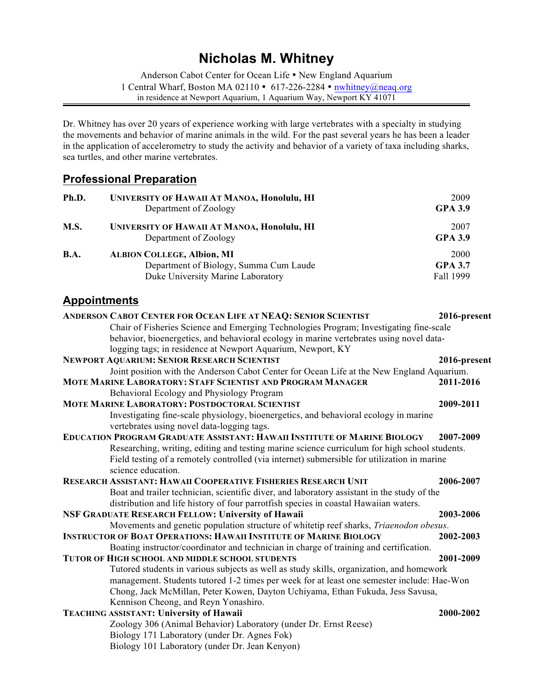# **Nicholas M. Whitney**

Anderson Cabot Center for Ocean Life • New England Aquarium 1 Central Wharf, Boston MA 02110 • 617-226-2284 • nwhitney@neaq.org in residence at Newport Aquarium, 1 Aquarium Way, Newport KY 41071

Dr. Whitney has over 20 years of experience working with large vertebrates with a specialty in studying the movements and behavior of marine animals in the wild. For the past several years he has been a leader in the application of accelerometry to study the activity and behavior of a variety of taxa including sharks, sea turtles, and other marine vertebrates.

## **Professional Preparation**

| Ph.D.       | <b>UNIVERSITY OF HAWAII AT MANOA, Honolulu, HI</b><br>Department of Zoology                                      | 2009<br><b>GPA 3.9</b>              |
|-------------|------------------------------------------------------------------------------------------------------------------|-------------------------------------|
| <b>M.S.</b> | UNIVERSITY OF HAWAII AT MANOA, Honolulu, HI<br>Department of Zoology                                             | 2007<br><b>GPA 3.9</b>              |
| <b>B.A.</b> | <b>ALBION COLLEGE, Albion, MI</b><br>Department of Biology, Summa Cum Laude<br>Duke University Marine Laboratory | 2000<br><b>GPA 3.7</b><br>Fall 1999 |

## **Appointments**

| ANDERSON CABOT CENTER FOR OCEAN LIFE AT NEAQ: SENIOR SCIENTIST                                | 2016-present |
|-----------------------------------------------------------------------------------------------|--------------|
| Chair of Fisheries Science and Emerging Technologies Program; Investigating fine-scale        |              |
| behavior, bioenergetics, and behavioral ecology in marine vertebrates using novel data-       |              |
| logging tags; in residence at Newport Aquarium, Newport, KY                                   |              |
| <b>NEWPORT AQUARIUM: SENIOR RESEARCH SCIENTIST</b>                                            | 2016-present |
| Joint position with the Anderson Cabot Center for Ocean Life at the New England Aquarium.     |              |
| MOTE MARINE LABORATORY: STAFF SCIENTIST AND PROGRAM MANAGER                                   | 2011-2016    |
| Behavioral Ecology and Physiology Program                                                     |              |
| <b>MOTE MARINE LABORATORY: POSTDOCTORAL SCIENTIST</b>                                         | 2009-2011    |
| Investigating fine-scale physiology, bioenergetics, and behavioral ecology in marine          |              |
| vertebrates using novel data-logging tags.                                                    |              |
| EDUCATION PROGRAM GRADUATE ASSISTANT: HAWAII INSTITUTE OF MARINE BIOLOGY                      | 2007-2009    |
| Researching, writing, editing and testing marine science curriculum for high school students. |              |
| Field testing of a remotely controlled (via internet) submersible for utilization in marine   |              |
| science education.                                                                            |              |
| RESEARCH ASSISTANT: HAWAII COOPERATIVE FISHERIES RESEARCH UNIT                                | 2006-2007    |
| Boat and trailer technician, scientific diver, and laboratory assistant in the study of the   |              |
| distribution and life history of four parrotfish species in coastal Hawaiian waters.          |              |
| <b>NSF GRADUATE RESEARCH FELLOW: University of Hawaii</b>                                     | 2003-2006    |
| Movements and genetic population structure of whitetip reef sharks, Triaenodon obesus.        |              |
| <b>INSTRUCTOR OF BOAT OPERATIONS: HAWAII INSTITUTE OF MARINE BIOLOGY</b>                      | 2002-2003    |
| Boating instructor/coordinator and technician in charge of training and certification.        |              |
| <b>TUTOR OF HIGH SCHOOL AND MIDDLE SCHOOL STUDENTS</b>                                        | 2001-2009    |
| Tutored students in various subjects as well as study skills, organization, and homework      |              |
| management. Students tutored 1-2 times per week for at least one semester include: Hae-Won    |              |
| Chong, Jack McMillan, Peter Kowen, Dayton Uchiyama, Ethan Fukuda, Jess Savusa,                |              |
| Kennison Cheong, and Reyn Yonashiro.                                                          |              |
| TEACHING ASSISTANT: University of Hawaii                                                      | 2000-2002    |
| Zoology 306 (Animal Behavior) Laboratory (under Dr. Ernst Reese)                              |              |
| Biology 171 Laboratory (under Dr. Agnes Fok)                                                  |              |
| Biology 101 Laboratory (under Dr. Jean Kenyon)                                                |              |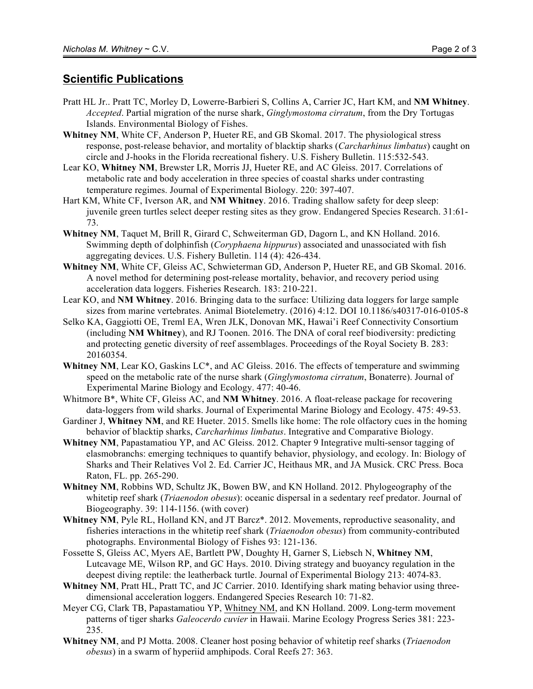### **Scientific Publications**

- Pratt HL Jr.. Pratt TC, Morley D, Lowerre-Barbieri S, Collins A, Carrier JC, Hart KM, and **NM Whitney**. *Accepted*. Partial migration of the nurse shark, *Ginglymostoma cirratum*, from the Dry Tortugas Islands. Environmental Biology of Fishes.
- **Whitney NM**, White CF, Anderson P, Hueter RE, and GB Skomal. 2017. The physiological stress response, post-release behavior, and mortality of blacktip sharks (*Carcharhinus limbatus*) caught on circle and J-hooks in the Florida recreational fishery. U.S. Fishery Bulletin. 115:532-543.
- Lear KO, **Whitney NM**, Brewster LR, Morris JJ, Hueter RE, and AC Gleiss. 2017. Correlations of metabolic rate and body acceleration in three species of coastal sharks under contrasting temperature regimes. Journal of Experimental Biology. 220: 397-407.
- Hart KM, White CF, Iverson AR, and **NM Whitney**. 2016. Trading shallow safety for deep sleep: juvenile green turtles select deeper resting sites as they grow. Endangered Species Research. 31:61- 73.
- **Whitney NM**, Taquet M, Brill R, Girard C, Schweiterman GD, Dagorn L, and KN Holland. 2016. Swimming depth of dolphinfish (*Coryphaena hippurus*) associated and unassociated with fish aggregating devices. U.S. Fishery Bulletin. 114 (4): 426-434.
- **Whitney NM**, White CF, Gleiss AC, Schwieterman GD, Anderson P, Hueter RE, and GB Skomal. 2016. A novel method for determining post-release mortality, behavior, and recovery period using acceleration data loggers. Fisheries Research. 183: 210-221.
- Lear KO, and **NM Whitney**. 2016. Bringing data to the surface: Utilizing data loggers for large sample sizes from marine vertebrates. Animal Biotelemetry. (2016) 4:12. DOI 10.1186/s40317-016-0105-8
- Selko KA, Gaggiotti OE, Treml EA, Wren JLK, Donovan MK, Hawai'i Reef Connectivity Consortium (including **NM Whitney**), and RJ Toonen. 2016. The DNA of coral reef biodiversity: predicting and protecting genetic diversity of reef assemblages. Proceedings of the Royal Society B. 283: 20160354.
- **Whitney NM**, Lear KO, Gaskins LC\*, and AC Gleiss. 2016. The effects of temperature and swimming speed on the metabolic rate of the nurse shark (*Ginglymostoma cirratum*, Bonaterre). Journal of Experimental Marine Biology and Ecology. 477: 40-46.
- Whitmore B\*, White CF, Gleiss AC, and **NM Whitney**. 2016. A float-release package for recovering data-loggers from wild sharks. Journal of Experimental Marine Biology and Ecology. 475: 49-53.
- Gardiner J, **Whitney NM**, and RE Hueter. 2015. Smells like home: The role olfactory cues in the homing behavior of blacktip sharks, *Carcharhinus limbatus*. Integrative and Comparative Biology.
- **Whitney NM**, Papastamatiou YP, and AC Gleiss. 2012. Chapter 9 Integrative multi-sensor tagging of elasmobranchs: emerging techniques to quantify behavior, physiology, and ecology. In: Biology of Sharks and Their Relatives Vol 2. Ed. Carrier JC, Heithaus MR, and JA Musick. CRC Press. Boca Raton, FL. pp. 265-290.
- **Whitney NM**, Robbins WD, Schultz JK, Bowen BW, and KN Holland. 2012. Phylogeography of the whitetip reef shark (*Triaenodon obesus*): oceanic dispersal in a sedentary reef predator. Journal of Biogeography. 39: 114-1156. (with cover)
- **Whitney NM**, Pyle RL, Holland KN, and JT Barcz\*. 2012. Movements, reproductive seasonality, and fisheries interactions in the whitetip reef shark (*Triaenodon obesus*) from community-contributed photographs. Environmental Biology of Fishes 93: 121-136.
- Fossette S, Gleiss AC, Myers AE, Bartlett PW, Doughty H, Garner S, Liebsch N, **Whitney NM**, Lutcavage ME, Wilson RP, and GC Hays. 2010. Diving strategy and buoyancy regulation in the deepest diving reptile: the leatherback turtle. Journal of Experimental Biology 213: 4074-83.
- **Whitney NM**, Pratt HL, Pratt TC, and JC Carrier. 2010. Identifying shark mating behavior using threedimensional acceleration loggers. Endangered Species Research 10: 71-82.
- Meyer CG, Clark TB, Papastamatiou YP, Whitney NM, and KN Holland. 2009. Long-term movement patterns of tiger sharks *Galeocerdo cuvier* in Hawaii. Marine Ecology Progress Series 381: 223- 235.
- **Whitney NM**, and PJ Motta. 2008. Cleaner host posing behavior of whitetip reef sharks (*Triaenodon obesus*) in a swarm of hyperiid amphipods. Coral Reefs 27: 363.